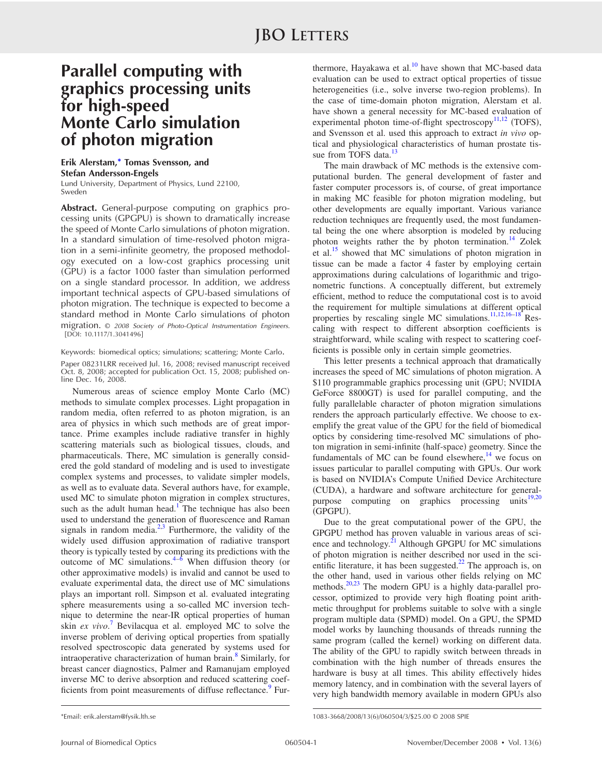## **Parallel computing with graphics processing units for high-speed Monte Carlo simulation of photon migration**

## **Erik Alerstam,\* Tomas Svensson, and Stefan Andersson-Engels**

Lund University, Department of Physics, Lund 22100, Sweden

**Abstract.** General-purpose computing on graphics processing units (GPGPU) is shown to dramatically increase the speed of Monte Carlo simulations of photon migration. In a standard simulation of time-resolved photon migration in a semi-infinite geometry, the proposed methodology executed on a low-cost graphics processing unit (GPU) is a factor 1000 faster than simulation performed on a single standard processor. In addition, we address important technical aspects of GPU-based simulations of photon migration. The technique is expected to become a standard method in Monte Carlo simulations of photon migration. © *2008 Society of Photo-Optical Instrumentation Engineers.* [DOI: 10.1117/1.3041496]

Keywords: biomedical optics; simulations; scattering; Monte Carlo.

Paper 08231LRR received Jul. 16, 2008; revised manuscript received Oct. 8, 2008; accepted for publication Oct. 15, 2008; published online Dec. 16, 2008.

Numerous areas of science employ Monte Carlo (MC) methods to simulate complex processes. Light propagation in random media, often referred to as photon migration, is an area of physics in which such methods are of great importance. Prime examples include radiative transfer in highly scattering materials such as biological tissues, clouds, and pharmaceuticals. There, MC simulation is generally considered the gold standard of modeling and is used to investigate complex systems and processes, to validate simpler models, as well as to evaluate data. Several authors have, for example, used MC to simulate photon migration in complex structures, such as the adult human head.<sup>1</sup> The technique has also been used to understand the generation of fluorescence and Raman signals in random media. $2^{3}$  $2^{3}$  $2^{3}$  Furthermore, the validity of the widely used diffusion approximation of radiative transport theory is typically tested by comparing its predictions with the outcome of MC simulations. $4-6$  When diffusion theory (or other approximative models) is invalid and cannot be used to evaluate experimental data, the direct use of MC simulations plays an important roll. Simpson et al. evaluated integrating sphere measurements using a so-called MC inversion technique to determine the near-IR optical properties of human skin *ex vivo*. [7](#page-2-5) Bevilacqua et al. employed MC to solve the inverse problem of deriving optical properties from spatially resolved spectroscopic data generated by systems used for intraoperative characterization of human brain.<sup>8</sup> Similarly, for breast cancer diagnostics, Palmer and Ramanujam employed inverse MC to derive absorption and reduced scattering coef-ficients from point measurements of diffuse reflectance.<sup>[9](#page-2-7)</sup> Fur-

thermore, Hayakawa et al. $^{10}$  have shown that MC-based data evaluation can be used to extract optical properties of tissue heterogeneities (i.e., solve inverse two-region problems). In the case of time-domain photon migration, Alerstam et al. have shown a general necessity for MC-based evaluation of experimental photon time-of-flight spectroscopy<sup>11,[12](#page-2-10)</sup> (TOFS), and Svensson et al. used this approach to extract *in vivo* optical and physiological characteristics of human prostate tis-sue from TOFS data.<sup>[13](#page-2-11)</sup>

The main drawback of MC methods is the extensive computational burden. The general development of faster and faster computer processors is, of course, of great importance in making MC feasible for photon migration modeling, but other developments are equally important. Various variance reduction techniques are frequently used, the most fundamental being the one where absorption is modeled by reducing photon weights rather the by photon termination.<sup>[14](#page-2-12)</sup> Zolek et al.<sup>[15](#page-2-13)</sup> showed that MC simulations of photon migration in tissue can be made a factor 4 faster by employing certain approximations during calculations of logarithmic and trigonometric functions. A conceptually different, but extremely efficient, method to reduce the computational cost is to avoid the requirement for multiple simulations at different optical properties by rescaling single MC simulations.<sup>11[,12](#page-2-10)[,16](#page-2-14)-18</sup> Rescaling with respect to different absorption coefficients is straightforward, while scaling with respect to scattering coefficients is possible only in certain simple geometries.

This letter presents a technical approach that dramatically increases the speed of MC simulations of photon migration. A \$110 programmable graphics processing unit GPU; NVIDIA GeForce 8800GT) is used for parallel computing, and the fully parallelable character of photon migration simulations renders the approach particularly effective. We choose to exemplify the great value of the GPU for the field of biomedical optics by considering time-resolved MC simulations of photon migration in semi-infinite (half-space) geometry. Since the fundamentals of MC can be found elsewhere, $14$  we focus on issues particular to parallel computing with GPUs. Our work is based on NVIDIA's Compute Unified Device Architecture (CUDA), a hardware and software architecture for general-purpose computing on graphics processing units<sup>[19,](#page-2-16)[20](#page-2-17)</sup> (GPGPU).

Due to the great computational power of the GPU, the GPGPU method has proven valuable in various areas of science and technology.<sup>21</sup> Although GPGPU for MC simulations of photon migration is neither described nor used in the sci-entific literature, it has been suggested.<sup>[22](#page-2-19)</sup> The approach is, on the other hand, used in various other fields relying on MC methods.<sup>[20,](#page-2-17)[23](#page-2-20)</sup> The modern GPU is a highly data-parallel processor, optimized to provide very high floating point arithmetic throughput for problems suitable to solve with a single program multiple data (SPMD) model. On a GPU, the SPMD model works by launching thousands of threads running the same program (called the kernel) working on different data. The ability of the GPU to rapidly switch between threads in combination with the high number of threads ensures the hardware is busy at all times. This ability effectively hides memory latency, and in combination with the several layers of very high bandwidth memory available in modern GPUs also

<sup>\*</sup>Email: erik.alerstam@fysik.lth.se

<sup>1083-3668/2008/13(6)/060504/3/\$25.00 © 2008</sup> SPIE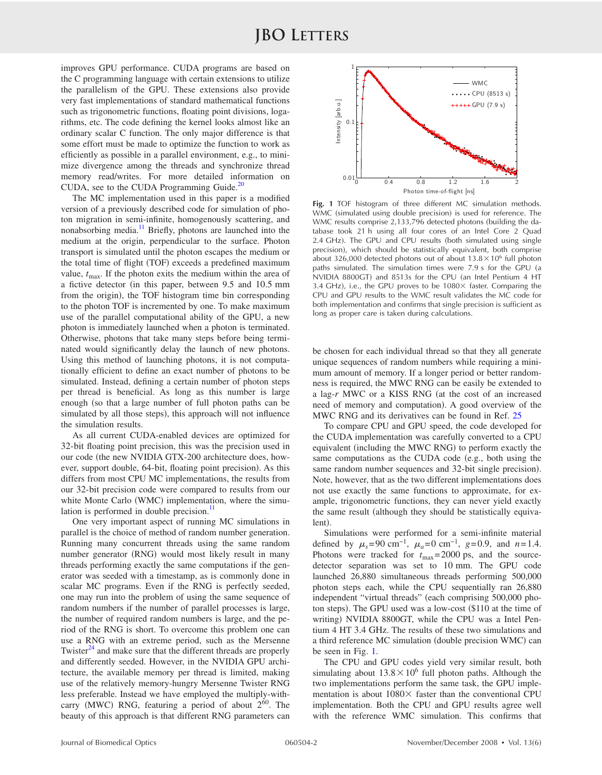improves GPU performance. CUDA programs are based on the C programming language with certain extensions to utilize the parallelism of the GPU. These extensions also provide very fast implementations of standard mathematical functions such as trigonometric functions, floating point divisions, logarithms, etc. The code defining the kernel looks almost like an ordinary scalar C function. The only major difference is that some effort must be made to optimize the function to work as efficiently as possible in a parallel environment, e.g., to minimize divergence among the threads and synchronize thread memory read/writes. For more detailed information on CUDA, see to the CUDA Programming Guide. $^{20}$  $^{20}$  $^{20}$ 

The MC implementation used in this paper is a modified version of a previously described code for simulation of photon migration in semi-infinite, homogenously scattering, and nonabsorbing media.<sup>11</sup> Briefly, photons are launched into the medium at the origin, perpendicular to the surface. Photon transport is simulated until the photon escapes the medium or the total time of flight (TOF) exceeds a predefined maximum value,  $t_{\text{max}}$ . If the photon exits the medium within the area of a fictive detector in this paper, between 9.5 and 10.5 mm from the origin), the TOF histogram time bin corresponding to the photon TOF is incremented by one. To make maximum use of the parallel computational ability of the GPU, a new photon is immediately launched when a photon is terminated. Otherwise, photons that take many steps before being terminated would significantly delay the launch of new photons. Using this method of launching photons, it is not computationally efficient to define an exact number of photons to be simulated. Instead, defining a certain number of photon steps per thread is beneficial. As long as this number is large enough (so that a large number of full photon paths can be simulated by all those steps), this approach will not influence the simulation results.

As all current CUDA-enabled devices are optimized for 32-bit floating point precision, this was the precision used in our code (the new NVIDIA GTX-200 architecture does, however, support double, 64-bit, floating point precision). As this differs from most CPU MC implementations, the results from our 32-bit precision code were compared to results from our white Monte Carlo (WMC) implementation, where the simulation is performed in double precision. $^{11}$  $^{11}$  $^{11}$ 

One very important aspect of running MC simulations in parallel is the choice of method of random number generation. Running many concurrent threads using the same random number generator (RNG) would most likely result in many threads performing exactly the same computations if the generator was seeded with a timestamp, as is commonly done in scalar MC programs. Even if the RNG is perfectly seeded, one may run into the problem of using the same sequence of random numbers if the number of parallel processes is large, the number of required random numbers is large, and the period of the RNG is short. To overcome this problem one can use a RNG with an extreme period, such as the Mersenne Twister $^{24}$  and make sure that the different threads are properly and differently seeded. However, in the NVIDIA GPU architecture, the available memory per thread is limited, making use of the relatively memory-hungry Mersenne Twister RNG less preferable. Instead we have employed the multiply-withcarry (MWC) RNG, featuring a period of about  $2^{60}$ . The beauty of this approach is that different RNG parameters can

<span id="page-1-0"></span>

**Fig. 1** TOF histogram of three different MC simulation methods. WMC (simulated using double precision) is used for reference. The WMC results comprise 2,133,796 detected photons (building the database took 21 h using all four cores of an Intel Core 2 Quad 2.4 GHz). The GPU and CPU results (both simulated using single precision), which should be statistically equivalent, both comprise about 326,000 detected photons out of about  $13.8\times10^6$  full photon paths simulated. The simulation times were  $7.9$  s for the GPU (a NVIDIA 8800GT) and 8513s for the CPU (an Intel Pentium 4 HT 3.4 GHz), i.e., the GPU proves to be 1080 $\times$  faster. Comparing the CPU and GPU results to the WMC result validates the MC code for both implementation and confirms that single precision is sufficient as long as proper care is taken during calculations.

be chosen for each individual thread so that they all generate unique sequences of random numbers while requiring a minimum amount of memory. If a longer period or better randomness is required, the MWC RNG can be easily be extended to a lag-r MWC or a KISS RNG (at the cost of an increased need of memory and computation). A good overview of the MWC RNG and its derivatives can be found in Ref. [25](#page-2-22)

To compare CPU and GPU speed, the code developed for the CUDA implementation was carefully converted to a CPU equivalent (including the MWC RNG) to perform exactly the same computations as the CUDA code (e.g., both using the same random number sequences and 32-bit single precision). Note, however, that as the two different implementations does not use exactly the same functions to approximate, for example, trigonometric functions, they can never yield exactly the same result (although they should be statistically equivalent).

Simulations were performed for a semi-infinite material defined by  $\mu_s$ =90 cm<sup>-1</sup>,  $\mu_a$ =0 cm<sup>-1</sup>, g=0.9, and n=1.4. Photons were tracked for  $t_{\text{max}}$  = 2000 ps, and the sourcedetector separation was set to 10 mm. The GPU code launched 26,880 simultaneous threads performing 500,000 photon steps each, while the CPU sequentially ran 26,880 independent "virtual threads" (each comprising 500,000 photon steps). The GPU used was a low-cost (\$110 at the time of writing) NVIDIA 8800GT, while the CPU was a Intel Pentium 4 HT 3.4 GHz. The results of these two simulations and a third reference MC simulation (double precision WMC) can be seen in Fig. [1.](#page-1-0)

The CPU and GPU codes yield very similar result, both simulating about  $13.8 \times 10^6$  full photon paths. Although the two implementations perform the same task, the GPU implementation is about  $1080\times$  faster than the conventional CPU implementation. Both the CPU and GPU results agree well with the reference WMC simulation. This confirms that